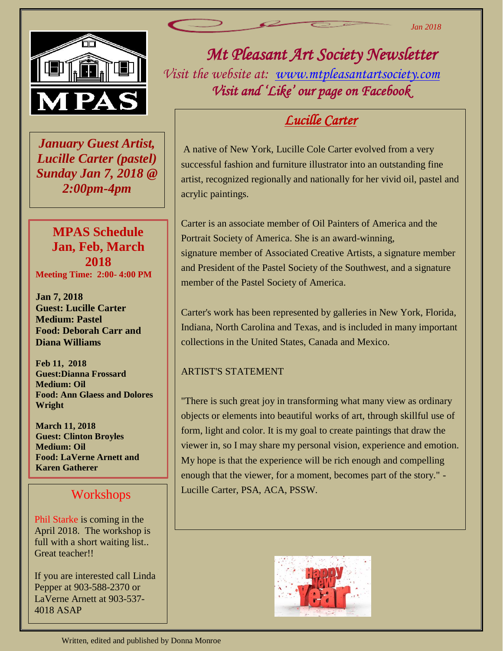

 *January Guest Artist, Lucille Carter (pastel) Sunday Jan 7, 2018 @ 2:00pm-4pm*

## **MPAS Schedule Jan, Feb, March 2018 Meeting Time: 2:00- 4:00 PM**

**Jan 7, 2018 Guest: Lucille Carter Medium: Pastel Food: Deborah Carr and Diana Williams**

**Feb 11, 2018 Guest:Dianna Frossard Medium: Oil Food: Ann Glaess and Dolores Wright**

**March 11, 2018 Guest: Clinton Broyles Medium: Oil Food: LaVerne Arnett and Karen Gatherer**

## Workshops

Phil Starke is coming in the April 2018. The workshop is full with a short waiting list.. Great teacher!!

If you are interested call Linda Pepper at 903-588-2370 or LaVerne Arnett at 903-537- 4018 ASAP

*Mt Pleasant Art Society Newsletter Visit the website at: [www.mtpleasantartsociety.com](http://www.mtpleasantartsociety.com/) Visit and 'Like' our page on Facebook* 

# *Lucille Carter*

A native of New York, Lucille Cole Carter evolved from a very successful fashion and furniture illustrator into an outstanding fine artist, recognized regionally and nationally for her vivid oil, pastel and acrylic paintings.

Carter is an associate member of Oil Painters of America and the Portrait Society of America. She is an award-winning, signature member of Associated Creative Artists, a signature member and President of the Pastel Society of the Southwest, and a signature member of the Pastel Society of America.

Carter's work has been represented by galleries in New York, Florida, Indiana, North Carolina and Texas, and is included in many important collections in the United States, Canada and Mexico.

## ARTIST'S STATEMENT

"There is such great joy in transforming what many view as ordinary objects or elements into beautiful works of art, through skillful use of form, light and color. It is my goal to create paintings that draw the viewer in, so I may share my personal vision, experience and emotion. My hope is that the experience will be rich enough and compelling enough that the viewer, for a moment, becomes part of the story." - Lucille Carter, PSA, ACA, PSSW.